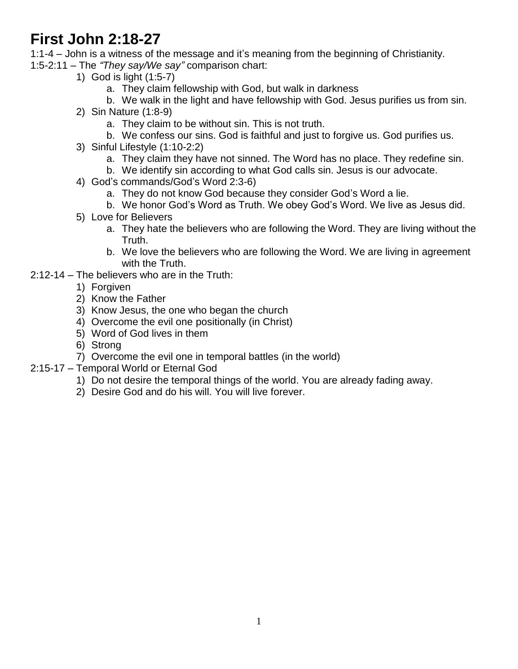# **First John 2:18-27**

1:1-4 – John is a witness of the message and it's meaning from the beginning of Christianity.

- 1:5-2:11 The *"They say/We say"* comparison chart:
	- 1) God is light (1:5-7)
		- a. They claim fellowship with God, but walk in darkness
		- b. We walk in the light and have fellowship with God. Jesus purifies us from sin.
	- 2) Sin Nature (1:8-9)
		- a. They claim to be without sin. This is not truth.
		- b. We confess our sins. God is faithful and just to forgive us. God purifies us.
	- 3) Sinful Lifestyle (1:10-2:2)
		- a. They claim they have not sinned. The Word has no place. They redefine sin.
		- b. We identify sin according to what God calls sin. Jesus is our advocate.
	- 4) God's commands/God's Word 2:3-6)
		- a. They do not know God because they consider God's Word a lie.
		- b. We honor God's Word as Truth. We obey God's Word. We live as Jesus did.
	- 5) Love for Believers
		- a. They hate the believers who are following the Word. They are living without the Truth.
		- b. We love the believers who are following the Word. We are living in agreement with the Truth.
- 2:12-14 The believers who are in the Truth:
	- 1) Forgiven
	- 2) Know the Father
	- 3) Know Jesus, the one who began the church
	- 4) Overcome the evil one positionally (in Christ)
	- 5) Word of God lives in them
	- 6) Strong
	- 7) Overcome the evil one in temporal battles (in the world)
- 2:15-17 Temporal World or Eternal God
	- 1) Do not desire the temporal things of the world. You are already fading away.
	- 2) Desire God and do his will. You will live forever.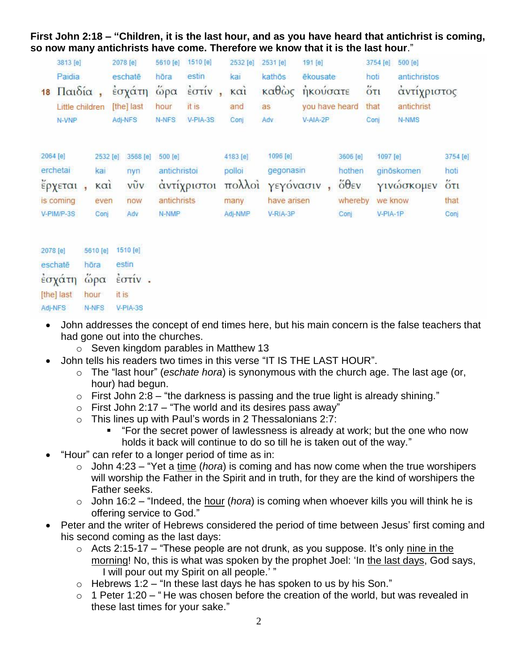**First John 2:18 – "Children, it is the last hour, and as you have heard that antichrist is coming, so now many antichrists have come. Therefore we know that it is the last hour**."

| 18 | 3813 [e]<br>Paidia<br>Παιδία,<br>Little children<br>N-VNP  |                                                                   | 2078 [e]<br>eschate<br>εσχάτη<br>[the] last<br>Adj-NFS | 5610 [e]<br>hōra<br>ώρα<br>hour<br>N-NFS        | 1510 [e]<br>estin<br>$\frac{1}{2}$ $\sigma \tau \nu$<br>it is<br>V-PIA-3S | 2532 [e]<br>kai<br>καί<br>and<br>Conj           | 2531 [e]<br>kathōs<br>καθώς<br>as:<br>Adv                     | 191 [e]<br>ēkousate<br>ήκούσατε<br>you have heard<br>$V-AIA-2P$ |                                                                              | hoti<br>$5\overline{c}$<br>that<br>Coni | 3754 [e]                        | 500 [e]<br>antichristos<br>αντίχριστος<br>antichrist<br>N-NMS |                                                          |
|----|------------------------------------------------------------|-------------------------------------------------------------------|--------------------------------------------------------|-------------------------------------------------|---------------------------------------------------------------------------|-------------------------------------------------|---------------------------------------------------------------|-----------------------------------------------------------------|------------------------------------------------------------------------------|-----------------------------------------|---------------------------------|---------------------------------------------------------------|----------------------------------------------------------|
|    | 2064 [e]<br>erchetai<br>έρχεται<br>is coming<br>V-PIM/P-3S | 2532 [e]<br>kai<br>$\kappa$ $\alpha$ <sub>1</sub><br>even<br>Conj | 3568 [e]<br>nyn<br>$v\tilde{v}v$<br>now<br>Adv         | 500 [e]<br>antichristoi<br>antichrists<br>N-NMP | αντίχριστοι                                                               | 4183 [e]<br>polloi<br>πολλοί<br>many<br>Adj-NMP | 1096 [e]<br>gegonasin<br>γεγόνασιν<br>have arisen<br>V-RIA-3P |                                                                 | 3606 [e]<br>hothen<br>$\ddot{\delta} \theta$ <sub>EV</sub><br>whereby<br>Con |                                         | 1097 [e]<br>we know<br>V-PIA-1P | ginöskomen<br>γινώσκομεν                                      | 3754 [e]<br>hoti<br>$\ddot{\text{o}}$ ti<br>that<br>Conj |

| 2078 [e]   | 5610 [e] | 1510 [e] |
|------------|----------|----------|
| eschatē    | höra     | estin    |
| έσχάτη     | $ω$ ρα   | έστιν.   |
| [the] last | hour     | it is    |
| Adj-NFS    | N-NFS    | V-PIA-3S |

- John addresses the concept of end times here, but his main concern is the false teachers that had gone out into the churches.
	- o Seven kingdom parables in Matthew 13
- John tells his readers two times in this verse "IT IS THE LAST HOUR".
	- o The "last hour" (*eschate hora*) is synonymous with the church age. The last age (or, hour) had begun.
	- $\circ$  First John 2:8 "the darkness is passing and the true light is already shining."
	- $\circ$  First John 2:17 "The world and its desires pass away"
	- o This lines up with Paul's words in 2 Thessalonians 2:7:
		- "For the secret power of lawlessness is already at work; but the one who now holds it back will continue to do so till he is taken out of the way."
- "Hour" can refer to a longer period of time as in:
	- o John 4:23 "Yet a time (*hora*) is coming and has now come when the true worshipers will worship the Father in the Spirit and in truth, for they are the kind of worshipers the Father seeks.
	- o John 16:2 "Indeed, the hour (*hora*) is coming when whoever kills you will think he is offering service to God."
- Peter and the writer of Hebrews considered the period of time between Jesus' first coming and his second coming as the last days:
	- $\circ$  Acts 2:15-17 "These people are not drunk, as you suppose. It's only nine in the morning! No, this is what was spoken by the prophet Joel: 'In the last days, God says, I will pour out my Spirit on all people.' "
	- $\circ$  Hebrews 1:2 "In these last days he has spoken to us by his Son."
	- $\circ$  1 Peter 1:20 "He was chosen before the creation of the world, but was revealed in these last times for your sake."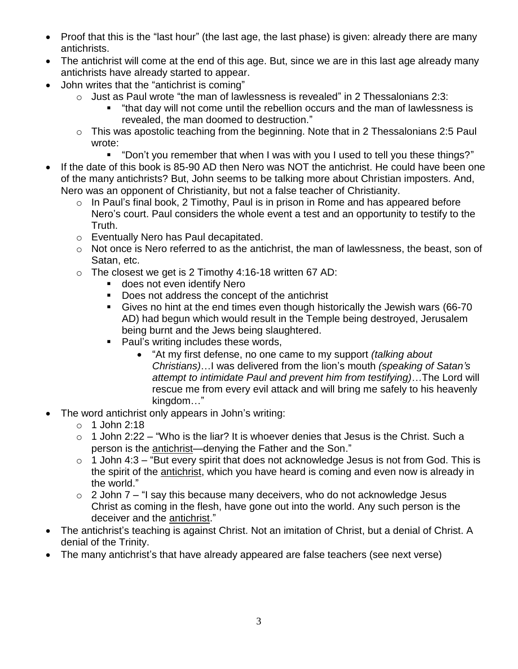- Proof that this is the "last hour" (the last age, the last phase) is given: already there are many antichrists.
- The antichrist will come at the end of this age. But, since we are in this last age already many antichrists have already started to appear.
- John writes that the "antichrist is coming"
	- o Just as Paul wrote "the man of lawlessness is revealed" in 2 Thessalonians 2:3:
		- "that day will not come until the rebellion occurs and the man of lawlessness is revealed, the man doomed to destruction."
	- o This was apostolic teaching from the beginning. Note that in 2 Thessalonians 2:5 Paul wrote:
		- "Don't you remember that when I was with you I used to tell you these things?"
- If the date of this book is 85-90 AD then Nero was NOT the antichrist. He could have been one of the many antichrists? But, John seems to be talking more about Christian imposters. And, Nero was an opponent of Christianity, but not a false teacher of Christianity.
	- $\circ$  In Paul's final book, 2 Timothy, Paul is in prison in Rome and has appeared before Nero's court. Paul considers the whole event a test and an opportunity to testify to the Truth.
	- o Eventually Nero has Paul decapitated.
	- o Not once is Nero referred to as the antichrist, the man of lawlessness, the beast, son of Satan, etc.
	- $\circ$  The closest we get is 2 Timothy 4:16-18 written 67 AD:
		- **does not even identify Nero**
		- Does not address the concept of the antichrist
		- Gives no hint at the end times even though historically the Jewish wars (66-70 AD) had begun which would result in the Temple being destroyed, Jerusalem being burnt and the Jews being slaughtered.
		- Paul's writing includes these words,
			- "At my first defense, no one came to my support *(talking about Christians)*…I was delivered from the lion's mouth *(speaking of Satan's attempt to intimidate Paul and prevent him from testifying)*…The Lord will rescue me from every evil attack and will bring me safely to his heavenly kingdom…"
- The word antichrist only appears in John's writing:
	- $\circ$  1 John 2:18
	- $\circ$  1 John 2:22 "Who is the liar? It is whoever denies that Jesus is the Christ. Such a person is the antichrist—denying the Father and the Son."
	- $\circ$  1 John 4:3 "But every spirit that does not acknowledge Jesus is not from God. This is the spirit of the antichrist, which you have heard is coming and even now is already in the world."
	- $\circ$  2 John 7 "I say this because many deceivers, who do not acknowledge Jesus Christ as coming in the flesh, have gone out into the world. Any such person is the deceiver and the antichrist."
- The antichrist's teaching is against Christ. Not an imitation of Christ, but a denial of Christ. A denial of the Trinity.
- The many antichrist's that have already appeared are false teachers (see next verse)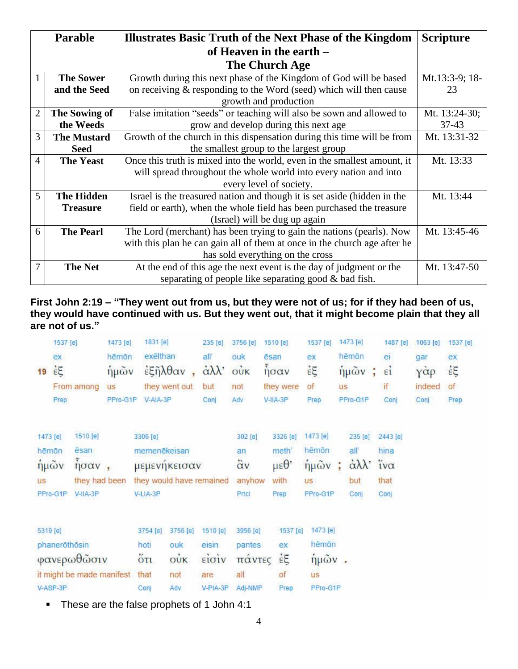|                | <b>Parable</b>     | <b>Illustrates Basic Truth of the Next Phase of the Kingdom</b>           | <b>Scripture</b> |
|----------------|--------------------|---------------------------------------------------------------------------|------------------|
|                |                    | of Heaven in the earth –                                                  |                  |
|                |                    | The Church Age                                                            |                  |
| $\mathbf{1}$   | <b>The Sower</b>   | Growth during this next phase of the Kingdom of God will be based         | Mt.13:3-9; 18-   |
|                | and the Seed       | on receiving $&$ responding to the Word (seed) which will then cause      | 23               |
|                |                    | growth and production                                                     |                  |
| $\overline{2}$ | The Sowing of      | False imitation "seeds" or teaching will also be sown and allowed to      | Mt. 13:24-30;    |
|                | the Weeds          | grow and develop during this next age                                     | $37 - 43$        |
| 3              | <b>The Mustard</b> | Growth of the church in this dispensation during this time will be from   | Mt. 13:31-32     |
|                | <b>Seed</b>        | the smallest group to the largest group                                   |                  |
| 4              | <b>The Yeast</b>   | Once this truth is mixed into the world, even in the smallest amount, it  | Mt. 13:33        |
|                |                    | will spread throughout the whole world into every nation and into         |                  |
|                |                    | every level of society.                                                   |                  |
| 5              | <b>The Hidden</b>  | Israel is the treasured nation and though it is set aside (hidden in the  | Mt. 13:44        |
|                | <b>Treasure</b>    | field or earth), when the whole field has been purchased the treasure     |                  |
|                |                    | (Israel) will be dug up again                                             |                  |
| 6              | <b>The Pearl</b>   | The Lord (merchant) has been trying to gain the nations (pearls). Now     | Mt. 13:45-46     |
|                |                    | with this plan he can gain all of them at once in the church age after he |                  |
|                |                    | has sold everything on the cross                                          |                  |
| 7              | <b>The Net</b>     | At the end of this age the next event is the day of judgment or the       | Mt. 13:47-50     |
|                |                    | separating of people like separating good & bad fish.                     |                  |

**First John 2:19 – "They went out from us, but they were not of us; for if they had been of us, they would have continued with us. But they went out, that it might become plain that they all are not of us."**

|           | 1537 [e]            |                           | 1473 [e]  | 1831 [e]             |                          | 235 [e]                | 3756 [e]          | 1510 [e]                 | 1537 [e]  |           | 1473 [e]                     | 1487 [e]     | 1063 [e]                   | 1537 [e] |
|-----------|---------------------|---------------------------|-----------|----------------------|--------------------------|------------------------|-------------------|--------------------------|-----------|-----------|------------------------------|--------------|----------------------------|----------|
|           | ex                  |                           | hēmōn     | exēlthan             |                          | all'                   | ouk               | ēsan                     | ex        |           | hēmōn                        | ei           | gar                        | ex       |
| 19        | $\dot{\varepsilon}$ |                           | ήμων      | $\frac{2}{3}$ ξηλθαν |                          | $\alpha\lambda\lambda$ | oùk               | $\delta$ <sub>ησαν</sub> | έξ        |           | ήμῶν<br>÷                    | $\epsilon i$ | $\gamma \dot{\alpha} \rho$ | έξ       |
|           |                     | From among                | <b>US</b> |                      | they went out            | but                    | not               | they were                | of        | <b>US</b> |                              | if           | indeed                     | of       |
|           | Prep                |                           | PPro-G1P  | V-AIA-3P             |                          | Conj                   | Adv               | V-IIA-3P                 | Prep      |           | PPro-G1P                     | Conj         | Conj                       | Prep     |
| 1473 [e]  |                     | 1510 [e]                  |           | 3306 [e]             |                          |                        | 302 [e]           | 3326 [e]                 | 1473 [e]  |           | 235 [e]                      | 2443 [e]     |                            |          |
| hēmōn     |                     | <b>ēsan</b>               |           | memenēkeisan         |                          |                        | an                | meth'                    | hēmōn     |           | all'                         | hina         |                            |          |
| ήμῶν      |                     | ησαν,                     |           |                      | μεμενηκεισαν             |                        | $\ddot{\alpha}$ v | $\mu \varepsilon \theta$ | ήμῶν      | ÷         | $\dot{\alpha}\lambda\lambda$ | ίνα          |                            |          |
| <b>US</b> |                     | they had been             |           |                      | they would have remained |                        | anyhow            | with                     | <b>US</b> |           | but                          | that         |                            |          |
|           | PPro-G1P            | $V-IIA-3P$                |           | V-LIA-3P             |                          |                        | Prtch             | Prep                     | PPro-G1P  |           | Cont                         | Con          |                            |          |
| 5319 [e]  |                     |                           |           | 3754 [e]             | 3756 [e]                 | 1510 [e]               | 3956 [e]          | 1537 [e]                 | 1473 [e]  |           |                              |              |                            |          |
|           | phaneröthösin       |                           |           | hoti                 | ouk                      | eisin.                 | pantes            | ex                       | hēmōn     |           |                              |              |                            |          |
|           |                     | φανερωθώσιν               |           | $5\pi$               | $\vec{ow}$               | είσιν                  | πάντες            | $\dot{\epsilon}$ E       | $ημ$ ῶν.  |           |                              |              |                            |          |
|           |                     | it might be made manifest |           | that                 | not                      | are                    | all               | of                       | <b>US</b> |           |                              |              |                            |          |
|           | V-ASP-3P            |                           |           | Conj                 | Adv                      | V-PIA-3P               | Adj-NMP           | Prep                     | PPro-G1P  |           |                              |              |                            |          |

• These are the false prophets of 1 John 4:1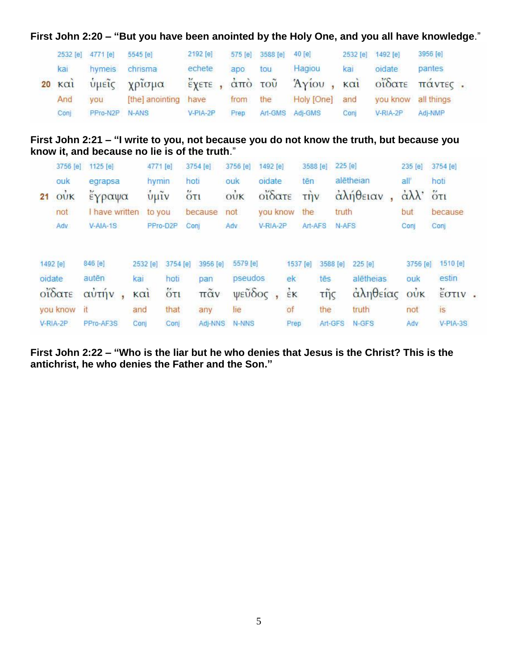**First John 2:20 – "But you have been anointed by the Holy One, and you all have knowledge**."

|                      | 2532 [e] 4771 [e] | 5545 [e]             | 2192 [e]       | 575 [e] | 3588 [e] | 40 [e]          |      | 2532 [e] 1492 [e]   | 3956 [e]       |  |
|----------------------|-------------------|----------------------|----------------|---------|----------|-----------------|------|---------------------|----------------|--|
| kai                  | hymeis            | chrisma              | echete         | apo     | tou      | Hagiou          | kai  | oidate              | <i>pantes</i>  |  |
| $20 \times \alpha i$ |                   | υμείς χρίσμα         | έχετε, από του |         |          | Άγίου, και      |      |                     | οΐδατε πάντες. |  |
| And                  | you               | [the] anointing have |                | from    | the      | Holy [One]      | and  | you know all things |                |  |
| Conj                 | PPro-N2P N-ANS    |                      | V-PIA-2P       | Prep    |          | Art-GMS Adj-GMS | Cont | V-RIA-2P            | Adj-NMP        |  |

#### **First John 2:21 – "I write to you, not because you do not know the truth, but because you know it, and because no lie is of the truth**."

|        | 3756 [e]                               | 1125 [e]       | 4771 [e]                                                          |                      | 3754 [e]             | 3756 [e]   | 1492 [e]                                |              | 3588 [e]             | 225 [e]  |           | 235 [e]                | 3754 [e]               |  |
|--------|----------------------------------------|----------------|-------------------------------------------------------------------|----------------------|----------------------|------------|-----------------------------------------|--------------|----------------------|----------|-----------|------------------------|------------------------|--|
|        | ouk                                    | egrapsa        | hymin                                                             |                      | hoti                 | ouk        | oïdate                                  |              | tēn                  |          | alētheian | all'                   | hoti                   |  |
| 21     | $\dot{\text{o}}\dot{\text{U}}\text{K}$ | έγραψα         | $\frac{1}{\mathbf{U}} \mathbf{\mu} \mathbf{\tilde{L}} \mathbf{V}$ |                      | $5\overline{c}$      | $o\dot{v}$ | οΐδατε                                  |              | $\overrightarrow{L}$ |          | αλήθειαν  | $\alpha\lambda\lambda$ | $\ddot{\mathrm{O}}$ TI |  |
|        | not                                    | I have written | to you                                                            |                      | because              | not        | you know                                |              | the                  | truth    |           | but                    | because                |  |
|        | Adv                                    | $V- AIA-1S$    |                                                                   | PPro-D2P             | Coni                 | Adv        | V-RIA-2P                                |              | Art-AFS              | N-AFS    |           | Conj                   | Con                    |  |
|        |                                        |                |                                                                   |                      |                      |            |                                         |              |                      |          |           |                        |                        |  |
|        | 1492 [e]                               | 846 [e]        | 2532 [e]                                                          | 3754 [e]             | 3956 [e]             | 5579 [e]   |                                         | 1537 [e]     |                      | 3588 [e] | 225 [e]   | 3756 [e]               | 1510 [e]               |  |
| oidate |                                        | autēn          | kai                                                               | hoti                 | pan                  | pseudos    |                                         | ek           | tēs                  |          | alētheias | ouk                    | estin                  |  |
|        | οΐδατε                                 | αὐτήν          | καί                                                               | $\ddot{\text{o}}$ ti | $\pi\tilde{\alpha}v$ |            | $\psi \in \widetilde{\mathcal{O}}$ δος, | $\epsilon$ K | τῆς                  |          | αληθείας  | ούκ                    | $\frac{v}{2}$ στιν.    |  |
|        | you know                               | it             | and                                                               | that                 | any                  | lie        |                                         | of           | the                  |          | truth     | not                    | is                     |  |
|        | V-RIA-2P                               | PPro-AF3S      | Conj                                                              | Con                  | Adi-NNS              | N-NNS      |                                         | Prep         |                      | Art-GFS  | N-GFS     | Adv                    | $V-PIA-3S$             |  |

**First John 2:22 – "Who is the liar but he who denies that Jesus is the Christ? This is the antichrist, he who denies the Father and the Son."**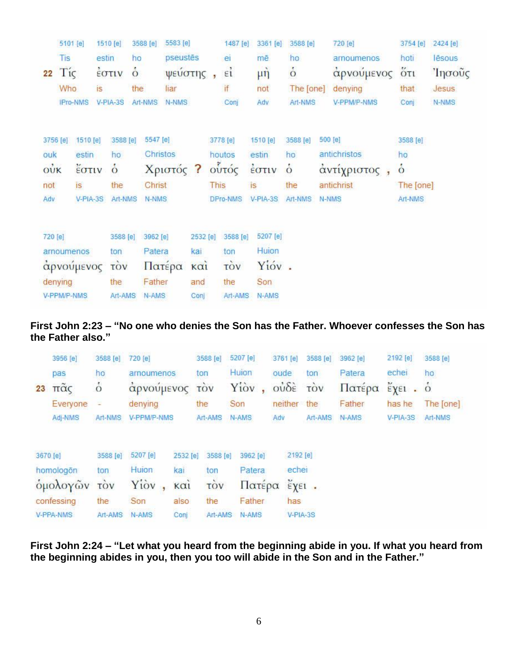|         | 5101 [e]        |            | 1510 [e]                             | 3588 [e]      | 5583 [e]  |                   |             | 1487 [e]               | 3361 [e]         | 3588 [e]      | 720 [e]      | 3754 [e]      | 2424 [e] |
|---------|-----------------|------------|--------------------------------------|---------------|-----------|-------------------|-------------|------------------------|------------------|---------------|--------------|---------------|----------|
|         | Tis             |            | estin                                | ho            | pseustēs  |                   |             | ei                     | mē               | ho            | arnoumenos   | hoti          | lēsous   |
| 22      | $Ti\varsigma$   |            | $\frac{1}{2}$ $\sigma$ $\frac{1}{2}$ | $\dot{\circ}$ | ψεύστης   |                   |             | $\epsilon i$           | $\mu \dot{\eta}$ | $\dot{\circ}$ | αρνούμενος   | $5\tau$       | Ίησους   |
|         | Who             | is         |                                      | the           | liar      |                   |             | if                     | not              | The [one]     | denying      | that          | Jesus    |
|         | <b>IPro-NMS</b> |            | V-PIA-3S                             | Art-NMS       | N-NMS     |                   |             | Conj                   | Adv              | Art-NMS       | V-PPM/P-NMS  | Conj          | N-NMS    |
|         |                 |            |                                      |               |           |                   |             |                        |                  |               |              |               |          |
|         | 3756 [e]        | 1510 [e]   | 3588 [e]                             | 5547 [e]      |           |                   |             | 3778 [e]               | 1510 [e]         | 3588 [e]      | 500 [e]      | 3588 [e]      |          |
| ouk     |                 | estin      | ho                                   | Christos      |           |                   |             | houtos                 | estin            | ho            | antichristos | ho            |          |
| oùk     |                 | Εστιν      | $\dot{\circ}$                        |               | Χριστός ? |                   |             | ούτός                  | έστιν            | $\dot{\circ}$ | αντίχριστος, | $\dot{\circ}$ |          |
| not     |                 | is         | the                                  | Christ        |           |                   | <b>This</b> |                        | <b>is</b>        | the           | antichrist   | The [one]     |          |
| Adv     |                 | V-PIA-3S   | Art-NMS                              | <b>N-NMS</b>  |           |                   |             | DPro-NMS               | V-PIA-3S         | Art-NMS       | N-NMS        | Art-NMS       |          |
|         |                 |            |                                      |               |           |                   |             |                        |                  |               |              |               |          |
| 720 [e] |                 |            | 3588 [e]                             | 3962 [e]      |           | 2532 [e]          |             | 3588 [e]               | 5207 [e]         |               |              |               |          |
|         | arnoumenos      |            | ton                                  | Patera        |           | kal               |             | ton                    | Huion            |               |              |               |          |
|         |                 | αρνούμενος | τòν                                  |               | Πατέρα    | $\kappa$ $\alpha$ |             | $\overrightarrow{10v}$ | Yióv.            |               |              |               |          |
|         | denying         |            | the                                  | Father        |           | and               |             | the                    | Son              |               |              |               |          |
|         | V-PPM/P-NMS     |            | Art-AMS                              | N-AMS         |           | Conj              |             | Art-AMS                | N-AMS            |               |              |               |          |

#### **First John 2:23 – "No one who denies the Son has the Father. Whoever confesses the Son has the Father also."**

| 23 | 3956 [e]<br>pas<br>$π\tilde{α}$ ς<br>Everyone<br>Adj-NMS            | 3588 [e]<br>ho<br>$\dot{\circ}$<br>Art-NMS | 720 [e]<br>arnoumenos<br>αρνούμενος<br>denying<br>V-PPM/P-NMS                                | 3588 [e]<br>ton<br><b>TOV</b><br>the<br>Art-AMS             | 5207 [e]<br>Huion<br>Yiòv<br>ÿ.<br>Son<br>N-AMS        | 3761 [e]<br>oude<br>$o\dot{v}\delta\dot{\epsilon}$<br>neither<br>Adv | 3588 [e]<br>ton<br>τòν<br>the<br>Art-AMS                   | 3962 [e]<br>Patera<br>Πατέρα<br>Father<br>N-AMS | 2192 [e]<br>echei<br>$\epsilon$ γει.<br>has he<br>V-PIA-3S | 3588 [e]<br>ho<br>$\dot{\circ}$<br>The [one]<br>Art-NMS |
|----|---------------------------------------------------------------------|--------------------------------------------|----------------------------------------------------------------------------------------------|-------------------------------------------------------------|--------------------------------------------------------|----------------------------------------------------------------------|------------------------------------------------------------|-------------------------------------------------|------------------------------------------------------------|---------------------------------------------------------|
|    | 3670 [e]<br>homologon<br>ομολογών<br>confessing<br><b>V-PPA-NMS</b> | 3588 [e]<br>ton<br>TÓV<br>the<br>Art-AMS   | 5207 [e]<br>2532 [e]<br>Huion:<br>kai<br>Yiov<br>$k\alpha i$<br>Son<br>also<br>N-AMS<br>Conj | 3588 [e]<br>ton<br>$\overrightarrow{cov}$<br>the<br>Art-AMS | 3962 [e]<br>Patera<br>Πατέρα<br>Father<br><b>N-AMS</b> | 2192 [e]<br>echei<br>has                                             | $\check{\epsilon}$ x $\epsilon$ <sub>1</sub> .<br>V-PIA-3S |                                                 |                                                            |                                                         |

**First John 2:24 – "Let what you heard from the beginning abide in you. If what you heard from the beginning abides in you, then you too will abide in the Son and in the Father."**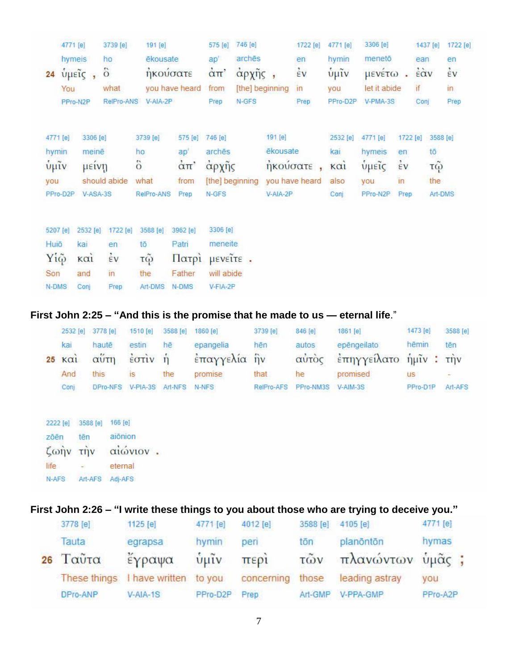|          | 4771 [e]               | 3739 [e]       | 191 [e]        |                                   | 575 [e]                | 746 [e]         |                 | 1722 [e]           | 4771 [e]           | 3306 [e]     |                    | 1437 [e] | 1722 [e] |
|----------|------------------------|----------------|----------------|-----------------------------------|------------------------|-----------------|-----------------|--------------------|--------------------|--------------|--------------------|----------|----------|
|          | hymeis                 | ho             | ēkousate       |                                   | ap'                    | archēs          |                 | en                 | hymin              | menetō       |                    | ean      | en       |
| 24       | υμείς                  | $\ddot{\circ}$ | ήκούσατε       |                                   | $\dot{\alpha}$ $\pi$ ' | άρχῆς           |                 | $\dot{\epsilon}$ v | $\tilde{\psi}$ μῖν | μενέτω       | ä.                 | έὰν      | έv       |
|          | You                    | what           |                | you have heard                    | from                   |                 | [the] beginning | $\overline{1}$     | you                | let it abide |                    | if       | in.      |
|          | PPro-N2P               | RelPro-ANS     | V-AIA-2P       |                                   | Prep                   | N-GFS           |                 | Prep               | PPro-D2P           | V-PMA-3S     |                    | Conj     | Prep     |
| 4771 [e] | 3306 [e]               |                | 3739 [e]       | 575 [e]                           | 746 [e]                |                 | 191 [e]         |                    | 2532 [e]           | 4771 [e]     | 1722 [e]           |          | 3588 [e] |
|          |                        |                |                |                                   |                        |                 | ēkousate        |                    |                    |              |                    |          |          |
| hymin    | meinē                  |                | ho             | ap'                               | archēs                 |                 |                 |                    | kai                | hymeis       | en                 |          | tō       |
| $ν$ μιν  | μείνη                  |                | $\ddot{\circ}$ | $\dot{\alpha}$ $\pi$ <sup>'</sup> | αρχής                  |                 | ηκούσατε        |                    | $\kappa$ $\alpha$  | υμείς        | $\dot{\epsilon}$ v |          | τώ       |
| vou      |                        | should abide   | what           | from                              |                        | [the] beginning |                 | you have heard     | also               | you          | in                 |          | the      |
| PPro-D2P | V-ASA-3S               |                | RelPro-ANS     | Prep                              | N-GFS                  |                 | V-AIA-2P        |                    | Conj               | PPro-N2P     | Prep               |          | Art-DMS  |
| 5207 [e] | 2532 [e]               | 1722 [e]       | 3588 [e]       | 3962 [e]                          | 3306 [e]               |                 |                 |                    |                    |              |                    |          |          |
| Huiō     | kai                    | en             | tō             | Patri                             | meneite                |                 |                 |                    |                    |              |                    |          |          |
|          |                        |                |                |                                   |                        |                 |                 |                    |                    |              |                    |          |          |
| Yiệ      | $K\alpha$ <sub>1</sub> | έV             | τῷ             | Πατρί                             | <b>HEVEITE</b> .       |                 |                 |                    |                    |              |                    |          |          |
| Son      | and                    | in             | the            | Father                            | will abide             |                 |                 |                    |                    |              |                    |          |          |
| N-DMS    | Conj                   | Prep           | Art-DMS        | N-DMS                             | V-FIA-2P               |                 |                 |                    |                    |              |                    |          |          |

### **First John 2:25 – "And this is the promise that he made to us — eternal life**."

|                         | 2532 [e] 3778 [e]               | 1510 [e] 3588 [e]             |     | 1860 [e]     | 3739 [e]   | 846 [e]            | 1861 <b>[e]</b>             | 1473 [e] | 3588 [e] |
|-------------------------|---------------------------------|-------------------------------|-----|--------------|------------|--------------------|-----------------------------|----------|----------|
| kar                     | hautē                           | estin                         | hē  | epangelia    | hên        | autos              | epēngeilato                 | hēmin    | tēn      |
| $25 \text{ K}$ $\alpha$ | αύτη                            | $\frac{2}{10}$ $\frac{1}{10}$ |     | έπαγγελία ήν |            |                    | αυτός επηγγείλατο ήμιν: την |          |          |
| And                     | this                            | IS <sup></sup>                | the | promise      | that       | he                 | promised                    | US.      |          |
| Conj                    | DPro-NFS V-PIA-3S Art-NFS N-NFS |                               |     |              | RelPro-AFS | PPro-NM3S V-AIM-3S |                             | PPro-D1P | Art-AFS  |

|          | 2222 [e] 3588 [e] 166 [e]      |          |  |
|----------|--------------------------------|----------|--|
| zōēn tēn |                                | aiônion  |  |
|          | $\zeta \omega \eta v$ $\eta v$ | αιώνιον. |  |
| life     | <b>Service</b>                 | eternal  |  |
|          | N-AFS Art-AFS Adj-AFS          |          |  |

## **First John 2:26 – "I write these things to you about those who are trying to deceive you."**

| 3778 [e]           | 1125 [e]              | 4771 [e]      | 4012 [e]   | 3588 [e]          | 4105 [e]         | 4771 [e] |  |
|--------------------|-----------------------|---------------|------------|-------------------|------------------|----------|--|
| Tauta              | egrapsa               | hymin         | peri       | tōn               | planöntön        | hymas    |  |
| $26$ $\Gamma$ αὖτα | έγραψα                | $\frac{1}{2}$ | περί       | $\tilde{\tau}$ ων | πλανώντων ὑμᾶς ; |          |  |
| These things       | I have written to you |               | concerning | those             | leading astray   | you      |  |
| DPro-ANP           | $V- AIA-1S$           | PPro-D2P      | Prep       | Art-GMP           | V-PPA-GMP        | PPro-A2P |  |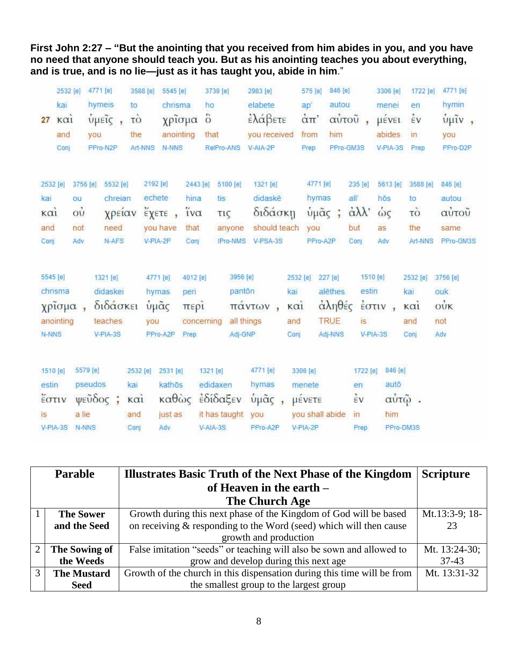**First John 2:27 – "But the anointing that you received from him abides in you, and you have no need that anyone should teach you. But as his anointing teaches you about everything, and is true, and is no lie—just as it has taught you, abide in him**."

|          | 2532 [e]    |                                    | 4771 [e]          | 3588 [e]    | 5545 [e]  |                     | 3739 [e]          | 2983 [e]     |             | 575 [e]         | 846 [e]     |                        | 3306 [e] | 1722 [e]                       | 4771 [e]          |
|----------|-------------|------------------------------------|-------------------|-------------|-----------|---------------------|-------------------|--------------|-------------|-----------------|-------------|------------------------|----------|--------------------------------|-------------------|
|          | kai         |                                    | hymeis            | to          | chrisma   | ho                  |                   | elabete      |             | ap'             | autou       |                        | menei    | en                             | hymin             |
| 27       | $k\alpha i$ |                                    | ύμεις,            | τò          | χρίσμα    | $\ddot{\circ}$      |                   | έλάβετε      |             | απ'             |             | αὐτοῦ,                 | μένει    | $\dot{\epsilon}$ v             | ύμιν,             |
|          | and         |                                    | <b>vou</b>        | the         | anointing | that                |                   | you received |             | from            | him         |                        | abides   | in                             | you               |
|          | Conj        |                                    | PPro-N2P          | Art-NNS     | N-NNS     |                     | RelPro-ANS        | V-AIA-2P     |             | Prep            | PPro-GM3S   |                        | V-PIA-3S | Prep                           | PPro-D2P          |
|          |             |                                    |                   |             |           |                     |                   |              |             |                 |             |                        |          |                                |                   |
| 2532 [e] |             |                                    | 3756 [e] 5532 [e] | 2192 [e]    |           |                     | 2443 [e] 5100 [e] | 1321 [e]     |             | 4771 [e]        |             | 235 [e]                | 5613 [e] | 3588 [e]                       | 846 [e]           |
| kai      |             | ou                                 | chreian           |             | echete    | hina                | tis.              | didaskē      |             | hymas           |             | all                    | hōs      | to                             | autou             |
| καì      |             | $\dot{\mathrm{o}}\dot{\mathrm{u}}$ | χρείαν            |             | έχετε,    | $i\mathsf{v}\alpha$ | τις               | διδάσκη      |             | ύμᾶς ;          |             | $\alpha\lambda\lambda$ | ώς       | τò                             | αὐτοῦ             |
| and      |             | not                                | need              |             | you have  | that                | anyone            | should teach |             | you             |             | but                    | as       | the                            | same              |
| Conj     |             | Adv                                | N-AFS             |             | V-PIA-2P  | Conj                | IPro-NMS          | V-PSA-3S     |             | PPro-A2P        |             | Conj                   | Adv      | Art-NNS                        | PPro-GM3S         |
|          |             |                                    |                   |             |           |                     |                   |              |             |                 |             |                        |          |                                |                   |
| 5545 [e] |             |                                    | 1321 [e]          |             | 4771 [e]  | 4012 [e]            | 3956 [e]          |              | 2532 [e]    |                 | 227 [e]     | 1510 [e]               |          | 2532 [e] 3756 [e]              |                   |
|          | chrisma     |                                    | didaskei          |             | hymas     | peri                | panton            |              | kai         |                 | alēthes     | estin                  |          | kai                            | ouk               |
|          | χρίσμα,     |                                    | διδάσκει          |             | υμάς      | περί                |                   | πάντων,      | $k\alpha i$ |                 | αληθές      | έστιν                  |          | $\kappa$ $\alpha$ <sub>i</sub> | $\dot{\text{ow}}$ |
|          | anointing   |                                    | teaches           | you         |           | concerning          | all things        |              | and         |                 | <b>TRUE</b> | is                     |          | and                            | not               |
| N-NNS    |             |                                    | V-PIA-3S          |             | PPro-A2P  | Prep                | Adj-GNP           |              | Conj        |                 | Adj-NNS     | V-PIA-3S               |          | Conj                           | Adv               |
|          |             |                                    |                   |             |           |                     |                   |              |             |                 |             |                        |          |                                |                   |
| 1510 [e] |             | 5579 [e]                           |                   | 2532 [e]    | 2531 [e]  | 1321 [e]            |                   | 4771 [e]     |             | 3306 [e]        |             | 1722 [e]               | 846 [e]  |                                |                   |
|          |             |                                    |                   |             |           |                     |                   |              |             |                 |             |                        |          |                                |                   |
| estin    |             |                                    | pseudos           | kai         | kathōs    |                     | edidaxen          | hymas        |             | menete          |             | en                     | autō     |                                |                   |
| έστιν    |             |                                    | ψεῦδος ;          | $k\alpha i$ | καθώς     |                     | έδίδαξεν          | ύμᾶς,        |             | μένετε          |             | $\frac{1}{2}V$         |          | αὐτῷ.                          |                   |
| is       |             | a lie                              |                   | and         | just as   |                     | it has taught     | you          |             | you shall abide |             | $\overline{m}$         | him      |                                |                   |
|          | $V-PIA-3S$  | N-NNS                              |                   | Conj        | Adv       |                     | $V-AIA-3S$        | PPro-A2P     |             | V-PIA-2P        |             | Prep                   |          | PPro-DM3S                      |                   |

| <b>Parable</b> |                    | <b>Illustrates Basic Truth of the Next Phase of the Kingdom</b>         | <b>Scripture</b> |  |  |  |
|----------------|--------------------|-------------------------------------------------------------------------|------------------|--|--|--|
|                |                    | of Heaven in the earth $-$                                              |                  |  |  |  |
| The Church Age |                    |                                                                         |                  |  |  |  |
|                | <b>The Sower</b>   | Growth during this next phase of the Kingdom of God will be based       |                  |  |  |  |
|                | and the Seed       | on receiving $&$ responding to the Word (seed) which will then cause    | 23               |  |  |  |
|                |                    | growth and production                                                   |                  |  |  |  |
| 2 <sub>1</sub> | The Sowing of      | False imitation "seeds" or teaching will also be sown and allowed to    | Mt. 13:24-30;    |  |  |  |
|                | the Weeds          | grow and develop during this next age                                   | $37-43$          |  |  |  |
| $\mathcal{R}$  | <b>The Mustard</b> | Growth of the church in this dispensation during this time will be from | Mt. 13:31-32     |  |  |  |
|                | <b>Seed</b>        | the smallest group to the largest group                                 |                  |  |  |  |